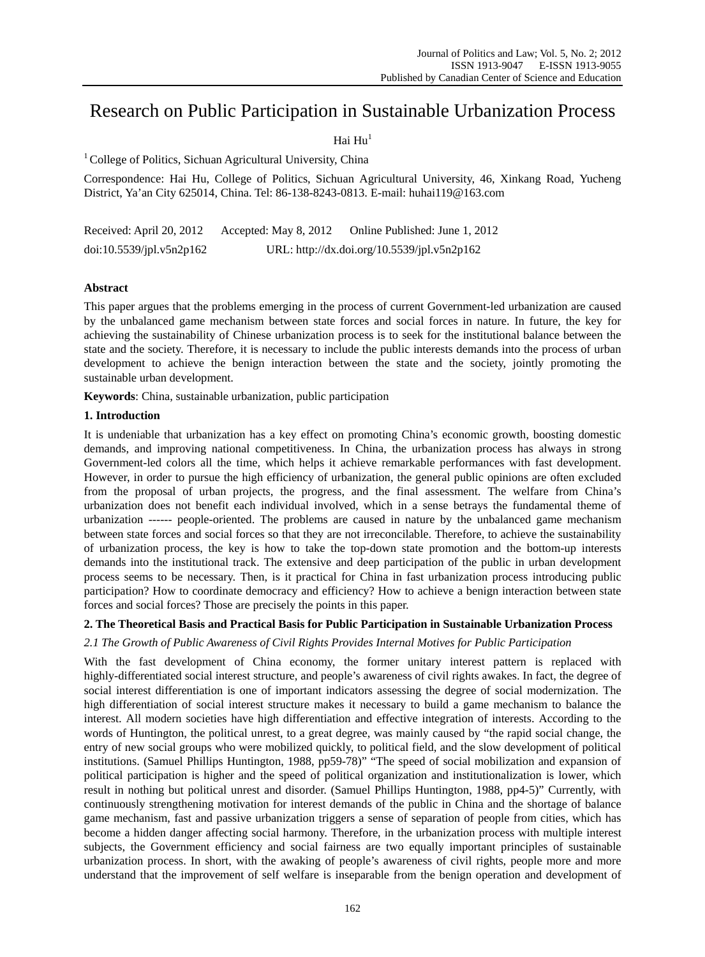# Research on Public Participation in Sustainable Urbanization Process

# Hai  $\text{Hu}^1$

 $1$  College of Politics, Sichuan Agricultural University, China

Correspondence: Hai Hu, College of Politics, Sichuan Agricultural University, 46, Xinkang Road, Yucheng District, Ya'an City 625014, China. Tel: 86-138-8243-0813. E-mail: huhai119@163.com

| Received: April 20, 2012 | Accepted: May 8, 2012                       | Online Published: June 1, 2012 |
|--------------------------|---------------------------------------------|--------------------------------|
| doi:10.5539/jpl.v5n2p162 | URL: http://dx.doi.org/10.5539/jpl.v5n2p162 |                                |

# **Abstract**

This paper argues that the problems emerging in the process of current Government-led urbanization are caused by the unbalanced game mechanism between state forces and social forces in nature. In future, the key for achieving the sustainability of Chinese urbanization process is to seek for the institutional balance between the state and the society. Therefore, it is necessary to include the public interests demands into the process of urban development to achieve the benign interaction between the state and the society, jointly promoting the sustainable urban development.

**Keywords**: China, sustainable urbanization, public participation

# **1. Introduction**

It is undeniable that urbanization has a key effect on promoting China's economic growth, boosting domestic demands, and improving national competitiveness. In China, the urbanization process has always in strong Government-led colors all the time, which helps it achieve remarkable performances with fast development. However, in order to pursue the high efficiency of urbanization, the general public opinions are often excluded from the proposal of urban projects, the progress, and the final assessment. The welfare from China's urbanization does not benefit each individual involved, which in a sense betrays the fundamental theme of urbanization ------ people-oriented. The problems are caused in nature by the unbalanced game mechanism between state forces and social forces so that they are not irreconcilable. Therefore, to achieve the sustainability of urbanization process, the key is how to take the top-down state promotion and the bottom-up interests demands into the institutional track. The extensive and deep participation of the public in urban development process seems to be necessary. Then, is it practical for China in fast urbanization process introducing public participation? How to coordinate democracy and efficiency? How to achieve a benign interaction between state forces and social forces? Those are precisely the points in this paper.

# **2. The Theoretical Basis and Practical Basis for Public Participation in Sustainable Urbanization Process**

# *2.1 The Growth of Public Awareness of Civil Rights Provides Internal Motives for Public Participation*

With the fast development of China economy, the former unitary interest pattern is replaced with highly-differentiated social interest structure, and people's awareness of civil rights awakes. In fact, the degree of social interest differentiation is one of important indicators assessing the degree of social modernization. The high differentiation of social interest structure makes it necessary to build a game mechanism to balance the interest. All modern societies have high differentiation and effective integration of interests. According to the words of Huntington, the political unrest, to a great degree, was mainly caused by "the rapid social change, the entry of new social groups who were mobilized quickly, to political field, and the slow development of political institutions. (Samuel Phillips Huntington, 1988, pp59-78)" "The speed of social mobilization and expansion of political participation is higher and the speed of political organization and institutionalization is lower, which result in nothing but political unrest and disorder. (Samuel Phillips Huntington, 1988, pp4-5)" Currently, with continuously strengthening motivation for interest demands of the public in China and the shortage of balance game mechanism, fast and passive urbanization triggers a sense of separation of people from cities, which has become a hidden danger affecting social harmony. Therefore, in the urbanization process with multiple interest subjects, the Government efficiency and social fairness are two equally important principles of sustainable urbanization process. In short, with the awaking of people's awareness of civil rights, people more and more understand that the improvement of self welfare is inseparable from the benign operation and development of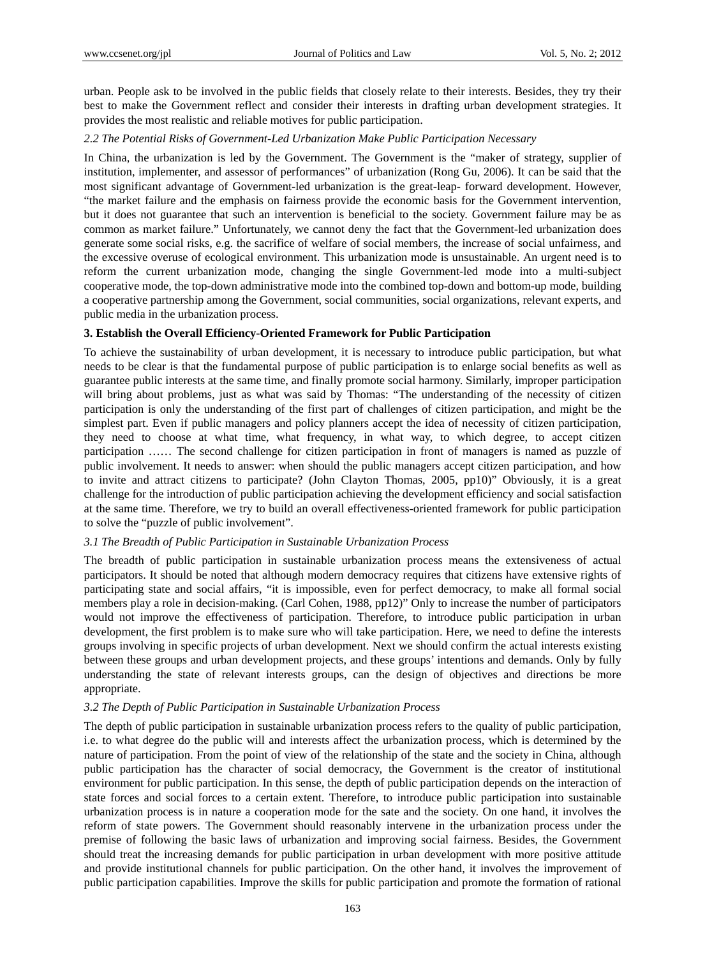urban. People ask to be involved in the public fields that closely relate to their interests. Besides, they try their best to make the Government reflect and consider their interests in drafting urban development strategies. It provides the most realistic and reliable motives for public participation.

## *2.2 The Potential Risks of Government-Led Urbanization Make Public Participation Necessary*

In China, the urbanization is led by the Government. The Government is the "maker of strategy, supplier of institution, implementer, and assessor of performances" of urbanization (Rong Gu, 2006). It can be said that the most significant advantage of Government-led urbanization is the great-leap- forward development. However, "the market failure and the emphasis on fairness provide the economic basis for the Government intervention, but it does not guarantee that such an intervention is beneficial to the society. Government failure may be as common as market failure." Unfortunately, we cannot deny the fact that the Government-led urbanization does generate some social risks, e.g. the sacrifice of welfare of social members, the increase of social unfairness, and the excessive overuse of ecological environment. This urbanization mode is unsustainable. An urgent need is to reform the current urbanization mode, changing the single Government-led mode into a multi-subject cooperative mode, the top-down administrative mode into the combined top-down and bottom-up mode, building a cooperative partnership among the Government, social communities, social organizations, relevant experts, and public media in the urbanization process.

# **3. Establish the Overall Efficiency-Oriented Framework for Public Participation**

To achieve the sustainability of urban development, it is necessary to introduce public participation, but what needs to be clear is that the fundamental purpose of public participation is to enlarge social benefits as well as guarantee public interests at the same time, and finally promote social harmony. Similarly, improper participation will bring about problems, just as what was said by Thomas: "The understanding of the necessity of citizen participation is only the understanding of the first part of challenges of citizen participation, and might be the simplest part. Even if public managers and policy planners accept the idea of necessity of citizen participation, they need to choose at what time, what frequency, in what way, to which degree, to accept citizen participation …… The second challenge for citizen participation in front of managers is named as puzzle of public involvement. It needs to answer: when should the public managers accept citizen participation, and how to invite and attract citizens to participate? (John Clayton Thomas, 2005, pp10)" Obviously, it is a great challenge for the introduction of public participation achieving the development efficiency and social satisfaction at the same time. Therefore, we try to build an overall effectiveness-oriented framework for public participation to solve the "puzzle of public involvement".

## *3.1 The Breadth of Public Participation in Sustainable Urbanization Process*

The breadth of public participation in sustainable urbanization process means the extensiveness of actual participators. It should be noted that although modern democracy requires that citizens have extensive rights of participating state and social affairs, "it is impossible, even for perfect democracy, to make all formal social members play a role in decision-making. (Carl Cohen, 1988, pp12)" Only to increase the number of participators would not improve the effectiveness of participation. Therefore, to introduce public participation in urban development, the first problem is to make sure who will take participation. Here, we need to define the interests groups involving in specific projects of urban development. Next we should confirm the actual interests existing between these groups and urban development projects, and these groups' intentions and demands. Only by fully understanding the state of relevant interests groups, can the design of objectives and directions be more appropriate.

## *3.2 The Depth of Public Participation in Sustainable Urbanization Process*

The depth of public participation in sustainable urbanization process refers to the quality of public participation, i.e. to what degree do the public will and interests affect the urbanization process, which is determined by the nature of participation. From the point of view of the relationship of the state and the society in China, although public participation has the character of social democracy, the Government is the creator of institutional environment for public participation. In this sense, the depth of public participation depends on the interaction of state forces and social forces to a certain extent. Therefore, to introduce public participation into sustainable urbanization process is in nature a cooperation mode for the sate and the society. On one hand, it involves the reform of state powers. The Government should reasonably intervene in the urbanization process under the premise of following the basic laws of urbanization and improving social fairness. Besides, the Government should treat the increasing demands for public participation in urban development with more positive attitude and provide institutional channels for public participation. On the other hand, it involves the improvement of public participation capabilities. Improve the skills for public participation and promote the formation of rational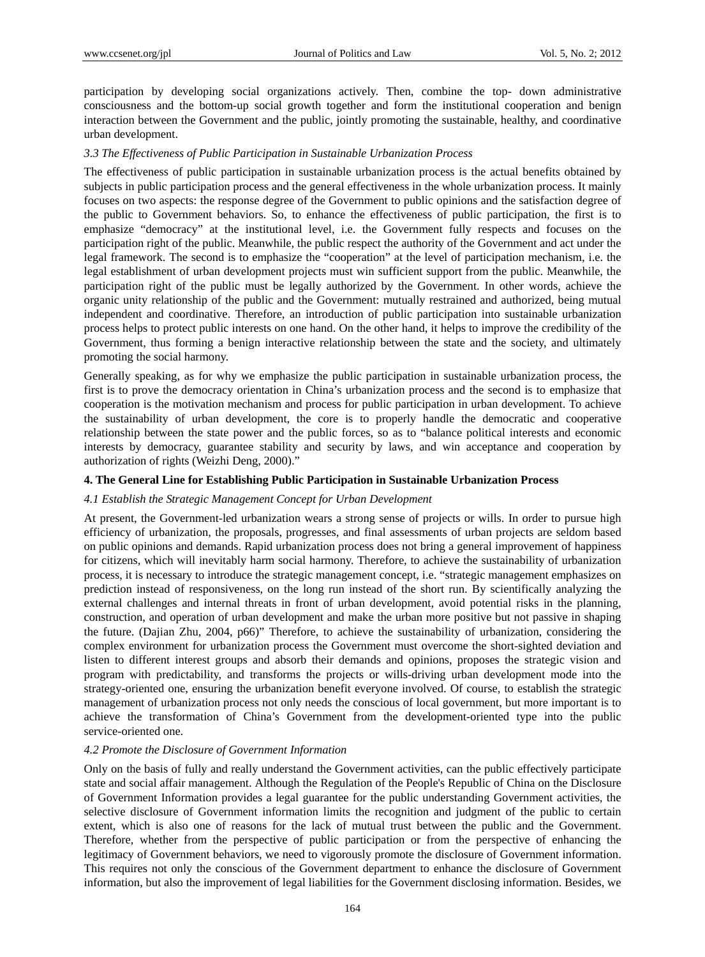participation by developing social organizations actively. Then, combine the top- down administrative consciousness and the bottom-up social growth together and form the institutional cooperation and benign interaction between the Government and the public, jointly promoting the sustainable, healthy, and coordinative urban development.

## *3.3 The Effectiveness of Public Participation in Sustainable Urbanization Process*

The effectiveness of public participation in sustainable urbanization process is the actual benefits obtained by subjects in public participation process and the general effectiveness in the whole urbanization process. It mainly focuses on two aspects: the response degree of the Government to public opinions and the satisfaction degree of the public to Government behaviors. So, to enhance the effectiveness of public participation, the first is to emphasize "democracy" at the institutional level, i.e. the Government fully respects and focuses on the participation right of the public. Meanwhile, the public respect the authority of the Government and act under the legal framework. The second is to emphasize the "cooperation" at the level of participation mechanism, i.e. the legal establishment of urban development projects must win sufficient support from the public. Meanwhile, the participation right of the public must be legally authorized by the Government. In other words, achieve the organic unity relationship of the public and the Government: mutually restrained and authorized, being mutual independent and coordinative. Therefore, an introduction of public participation into sustainable urbanization process helps to protect public interests on one hand. On the other hand, it helps to improve the credibility of the Government, thus forming a benign interactive relationship between the state and the society, and ultimately promoting the social harmony.

Generally speaking, as for why we emphasize the public participation in sustainable urbanization process, the first is to prove the democracy orientation in China's urbanization process and the second is to emphasize that cooperation is the motivation mechanism and process for public participation in urban development. To achieve the sustainability of urban development, the core is to properly handle the democratic and cooperative relationship between the state power and the public forces, so as to "balance political interests and economic interests by democracy, guarantee stability and security by laws, and win acceptance and cooperation by authorization of rights (Weizhi Deng, 2000)."

## **4. The General Line for Establishing Public Participation in Sustainable Urbanization Process**

#### *4.1 Establish the Strategic Management Concept for Urban Development*

At present, the Government-led urbanization wears a strong sense of projects or wills. In order to pursue high efficiency of urbanization, the proposals, progresses, and final assessments of urban projects are seldom based on public opinions and demands. Rapid urbanization process does not bring a general improvement of happiness for citizens, which will inevitably harm social harmony. Therefore, to achieve the sustainability of urbanization process, it is necessary to introduce the strategic management concept, i.e. "strategic management emphasizes on prediction instead of responsiveness, on the long run instead of the short run. By scientifically analyzing the external challenges and internal threats in front of urban development, avoid potential risks in the planning, construction, and operation of urban development and make the urban more positive but not passive in shaping the future. (Dajian Zhu, 2004, p66)" Therefore, to achieve the sustainability of urbanization, considering the complex environment for urbanization process the Government must overcome the short-sighted deviation and listen to different interest groups and absorb their demands and opinions, proposes the strategic vision and program with predictability, and transforms the projects or wills-driving urban development mode into the strategy-oriented one, ensuring the urbanization benefit everyone involved. Of course, to establish the strategic management of urbanization process not only needs the conscious of local government, but more important is to achieve the transformation of China's Government from the development-oriented type into the public service-oriented one.

# *4.2 Promote the Disclosure of Government Information*

Only on the basis of fully and really understand the Government activities, can the public effectively participate state and social affair management. Although the Regulation of the People's Republic of China on the Disclosure of Government Information provides a legal guarantee for the public understanding Government activities, the selective disclosure of Government information limits the recognition and judgment of the public to certain extent, which is also one of reasons for the lack of mutual trust between the public and the Government. Therefore, whether from the perspective of public participation or from the perspective of enhancing the legitimacy of Government behaviors, we need to vigorously promote the disclosure of Government information. This requires not only the conscious of the Government department to enhance the disclosure of Government information, but also the improvement of legal liabilities for the Government disclosing information. Besides, we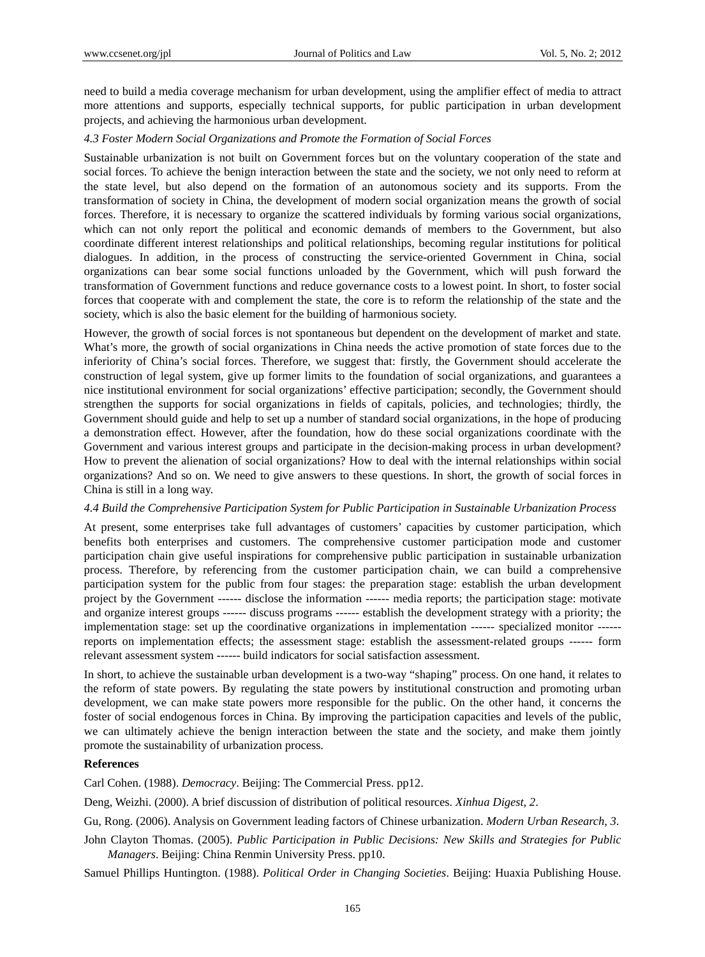need to build a media coverage mechanism for urban development, using the amplifier effect of media to attract more attentions and supports, especially technical supports, for public participation in urban development projects, and achieving the harmonious urban development.

## *4.3 Foster Modern Social Organizations and Promote the Formation of Social Forces*

Sustainable urbanization is not built on Government forces but on the voluntary cooperation of the state and social forces. To achieve the benign interaction between the state and the society, we not only need to reform at the state level, but also depend on the formation of an autonomous society and its supports. From the transformation of society in China, the development of modern social organization means the growth of social forces. Therefore, it is necessary to organize the scattered individuals by forming various social organizations, which can not only report the political and economic demands of members to the Government, but also coordinate different interest relationships and political relationships, becoming regular institutions for political dialogues. In addition, in the process of constructing the service-oriented Government in China, social organizations can bear some social functions unloaded by the Government, which will push forward the transformation of Government functions and reduce governance costs to a lowest point. In short, to foster social forces that cooperate with and complement the state, the core is to reform the relationship of the state and the society, which is also the basic element for the building of harmonious society.

However, the growth of social forces is not spontaneous but dependent on the development of market and state. What's more, the growth of social organizations in China needs the active promotion of state forces due to the inferiority of China's social forces. Therefore, we suggest that: firstly, the Government should accelerate the construction of legal system, give up former limits to the foundation of social organizations, and guarantees a nice institutional environment for social organizations' effective participation; secondly, the Government should strengthen the supports for social organizations in fields of capitals, policies, and technologies; thirdly, the Government should guide and help to set up a number of standard social organizations, in the hope of producing a demonstration effect. However, after the foundation, how do these social organizations coordinate with the Government and various interest groups and participate in the decision-making process in urban development? How to prevent the alienation of social organizations? How to deal with the internal relationships within social organizations? And so on. We need to give answers to these questions. In short, the growth of social forces in China is still in a long way.

#### *4.4 Build the Comprehensive Participation System for Public Participation in Sustainable Urbanization Process*

At present, some enterprises take full advantages of customers' capacities by customer participation, which benefits both enterprises and customers. The comprehensive customer participation mode and customer participation chain give useful inspirations for comprehensive public participation in sustainable urbanization process. Therefore, by referencing from the customer participation chain, we can build a comprehensive participation system for the public from four stages: the preparation stage: establish the urban development project by the Government ------ disclose the information ------ media reports; the participation stage: motivate and organize interest groups ------ discuss programs ------ establish the development strategy with a priority; the implementation stage: set up the coordinative organizations in implementation ------ specialized monitor ----- reports on implementation effects; the assessment stage: establish the assessment-related groups ------ form relevant assessment system ------ build indicators for social satisfaction assessment.

In short, to achieve the sustainable urban development is a two-way "shaping" process. On one hand, it relates to the reform of state powers. By regulating the state powers by institutional construction and promoting urban development, we can make state powers more responsible for the public. On the other hand, it concerns the foster of social endogenous forces in China. By improving the participation capacities and levels of the public, we can ultimately achieve the benign interaction between the state and the society, and make them jointly promote the sustainability of urbanization process.

#### **References**

Carl Cohen. (1988). *Democracy*. Beijing: The Commercial Press. pp12.

Deng, Weizhi. (2000). A brief discussion of distribution of political resources. *Xinhua Digest*, *2*.

Gu, Rong. (2006). Analysis on Government leading factors of Chinese urbanization. *Modern Urban Research*, *3*.

John Clayton Thomas. (2005). *Public Participation in Public Decisions: New Skills and Strategies for Public Managers*. Beijing: China Renmin University Press. pp10.

Samuel Phillips Huntington. (1988). *Political Order in Changing Societies*. Beijing: Huaxia Publishing House.